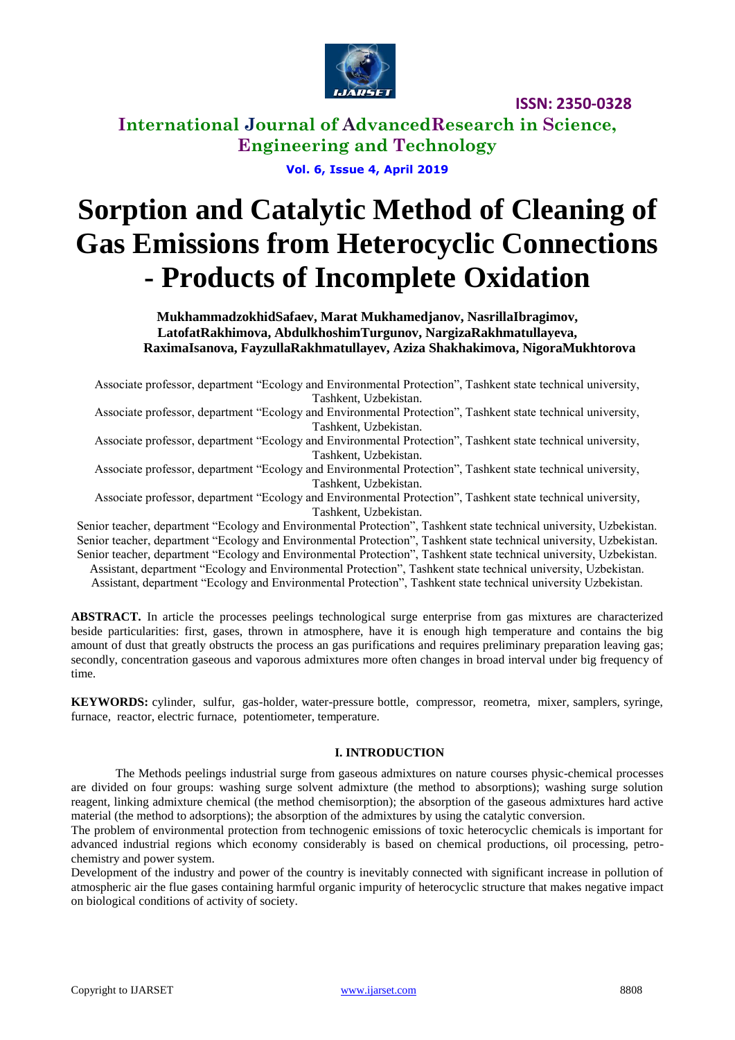

**International Journal of AdvancedResearch in Science, Engineering and Technology**

**Vol. 6, Issue 4, April 2019**

# **Sorption and Catalytic Method of Cleaning of Gas Emissions from Heterocyclic Connections - Products of Incomplete Oxidation**

**MukhammadzokhidSafaev, Marat Mukhamedjanov, NasrillaIbragimov, LatofatRakhimova, AbdulkhoshimTurgunov, NargizaRakhmatullayeva, RaximaIsanova, FayzullaRakhmatullayev, Aziza Shakhakimova, NigoraMukhtorova**

Associate professor, department "Ecology and Environmental Protection", Tashkent state technical university, Tashkent, Uzbekistan.

Associate professor, department "Ecology and Environmental Protection", Tashkent state technical university, Tashkent, Uzbekistan.

Associate professor, department "Ecology and Environmental Protection", Tashkent state technical university, Tashkent, Uzbekistan.

Associate professor, department "Ecology and Environmental Protection", Tashkent state technical university, Tashkent, Uzbekistan.

Associate professor, department "Ecology and Environmental Protection", Tashkent state technical university, Tashkent, Uzbekistan.

Senior teacher, department "Ecology and Environmental Protection", Tashkent state technical university, Uzbekistan. Senior teacher, department "Ecology and Environmental Protection", Tashkent state technical university, Uzbekistan. Senior teacher, department "Ecology and Environmental Protection", Tashkent state technical university, Uzbekistan.

Assistant, department "Ecology and Environmental Protection", Tashkent state technical university, Uzbekistan.

Assistant, department "Ecology and Environmental Protection", Tashkent state technical university Uzbekistan.

**ABSTRACT.** In article the processes peelings technological surge enterprise from gas mixtures are characterized beside particularities: first, gases, thrown in atmosphere, have it is enough high temperature and contains the big amount of dust that greatly obstructs the process an gas purifications and requires preliminary preparation leaving gas; secondly, concentration gaseous and vaporous admixtures more often changes in broad interval under big frequency of time.

**KEYWORDS:** cylinder, sulfur, gas-holder, water-pressure bottle, compressor, reometra, mixer, samplers, syringe, furnace, reactor, electric furnace, potentiometer, temperature.

#### **I. INTRODUCTION**

The Methods peelings industrial surge from gaseous admixtures on nature courses physic-chemical processes are divided on four groups: washing surge solvent admixture (the method to absorptions); washing surge solution reagent, linking admixture chemical (the method chemisorption); the absorption of the gaseous admixtures hard active material (the method to adsorptions); the absorption of the admixtures by using the catalytic conversion.

The problem of environmental protection from technogenic emissions of toxic heterocyclic chemicals is important for advanced industrial regions which economy considerably is based on chemical productions, oil processing, petrochemistry and power system.

Development of the industry and power of the country is inevitably connected with significant increase in pollution of atmospheric air the flue gases containing harmful organic impurity of heterocyclic structure that makes negative impact on biological conditions of activity of society.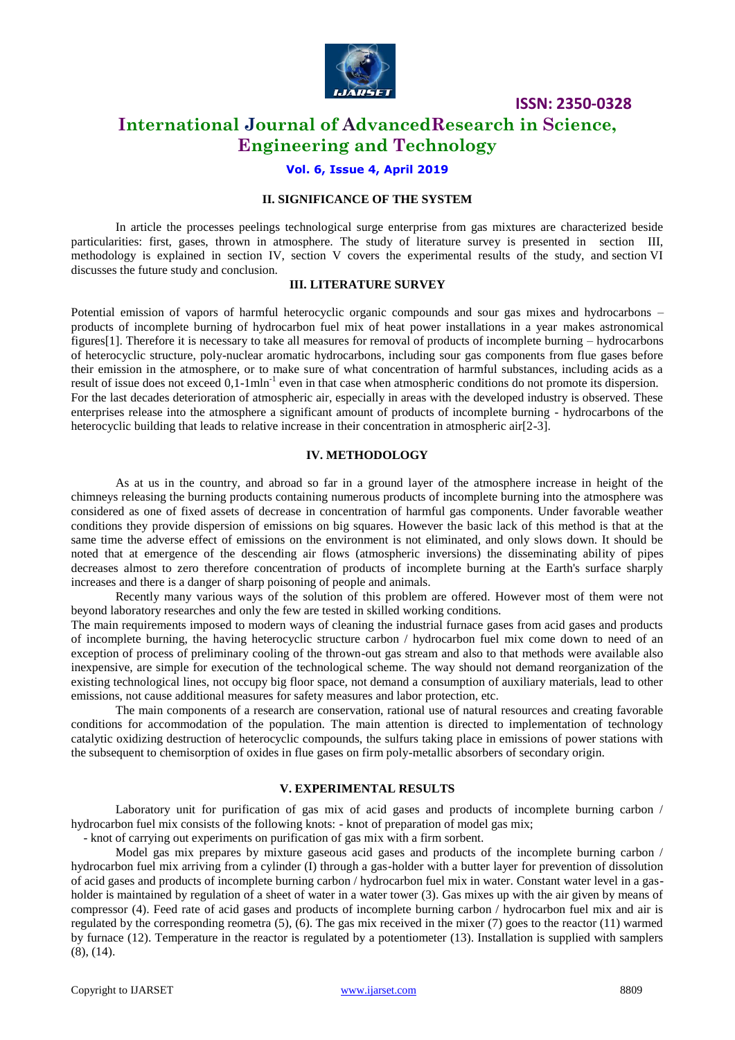

## **International Journal of AdvancedResearch in Science, Engineering and Technology**

#### **Vol. 6, Issue 4, April 2019**

#### **II. SIGNIFICANCE OF THE SYSTEM**

In article the processes peelings technological surge enterprise from gas mixtures are characterized beside particularities: first, gases, thrown in atmosphere. The study of literature survey is presented in section III, methodology is explained in section IV, section V covers the experimental results of the study, and section VI discusses the future study and conclusion.

#### **III. LITERATURE SURVEY**

Potential emission of vapors of harmful heterocyclic organic compounds and sour gas mixes and hydrocarbons – products of incomplete burning of hydrocarbon fuel mix of heat power installations in a year makes astronomical figures[1]. Therefore it is necessary to take all measures for removal of products of incomplete burning – hydrocarbons of heterocyclic structure, poly-nuclear aromatic hydrocarbons, including sour gas components from flue gases before their emission in the atmosphere, or to make sure of what concentration of harmful substances, including acids as a result of issue does not exceed 0,1-1mln<sup>-1</sup> even in that case when atmospheric conditions do not promote its dispersion. For the last decades deterioration of atmospheric air, especially in areas with the developed industry is observed. These enterprises release into the atmosphere a significant amount of products of incomplete burning - hydrocarbons of the heterocyclic building that leads to relative increase in their concentration in atmospheric air[2-3].

#### **IV. METHODOLOGY**

As at us in the country, and abroad so far in a ground layer of the atmosphere increase in height of the chimneys releasing the burning products containing numerous products of incomplete burning into the atmosphere was considered as one of fixed assets of decrease in concentration of harmful gas components. Under favorable weather conditions they provide dispersion of emissions on big squares. However the basic lack of this method is that at the same time the adverse effect of emissions on the environment is not eliminated, and only slows down. It should be noted that at emergence of the descending air flows (atmospheric inversions) the disseminating ability of pipes decreases almost to zero therefore concentration of products of incomplete burning at the Earth's surface sharply increases and there is a danger of sharp poisoning of people and animals.

Recently many various ways of the solution of this problem are offered. However most of them were not beyond laboratory researches and only the few are tested in skilled working conditions.

The main requirements imposed to modern ways of cleaning the industrial furnace gases from acid gases and products of incomplete burning, the having heterocyclic structure carbon / hydrocarbon fuel mix come down to need of an exception of process of preliminary cooling of the thrown-out gas stream and also to that methods were available also inexpensive, are simple for execution of the technological scheme. The way should not demand reorganization of the existing technological lines, not occupy big floor space, not demand a consumption of auxiliary materials, lead to other emissions, not cause additional measures for safety measures and labor protection, etc.

The main components of a research are conservation, rational use of natural resources and creating favorable conditions for accommodation of the population. The main attention is directed to implementation of technology catalytic oxidizing destruction of heterocyclic compounds, the sulfurs taking place in emissions of power stations with the subsequent to chemisorption of oxides in flue gases on firm poly-metallic absorbers of secondary origin.

#### **V. EXPERIMENTAL RESULTS**

Laboratory unit for purification of gas mix of acid gases and products of incomplete burning carbon / hydrocarbon fuel mix consists of the following knots: - knot of preparation of model gas mix;

- knot of carrying out experiments on purification of gas mix with a firm sorbent.

Model gas mix prepares by mixture gaseous acid gases and products of the incomplete burning carbon / hydrocarbon fuel mix arriving from a cylinder (I) through a gas-holder with a butter layer for prevention of dissolution of acid gases and products of incomplete burning carbon / hydrocarbon fuel mix in water. Constant water level in a gasholder is maintained by regulation of a sheet of water in a water tower (3). Gas mixes up with the air given by means of compressor (4). Feed rate of acid gases and products of incomplete burning carbon / hydrocarbon fuel mix and air is regulated by the corresponding reometra (5), (6). The gas mix received in the mixer (7) goes to the reactor (11) warmed by furnace (12). Temperature in the reactor is regulated by a potentiometer (13). Installation is supplied with samplers (8), (14).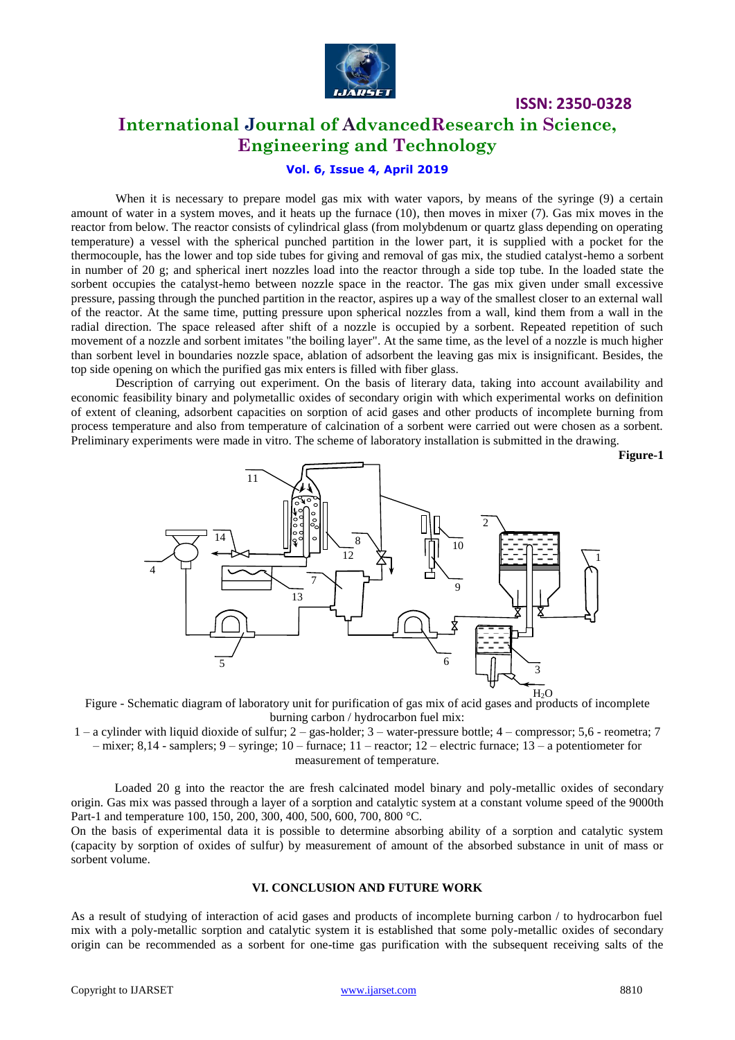

## **International Journal of AdvancedResearch in Science, Engineering and Technology**

**Vol. 6, Issue 4, April 2019**

When it is necessary to prepare model gas mix with water vapors, by means of the syringe (9) a certain amount of water in a system moves, and it heats up the furnace (10), then moves in mixer (7). Gas mix moves in the reactor from below. The reactor consists of cylindrical glass (from molybdenum or quartz glass depending on operating temperature) a vessel with the spherical punched partition in the lower part, it is supplied with a pocket for the thermocouple, has the lower and top side tubes for giving and removal of gas mix, the studied catalyst-hemo a sorbent in number of 20 g; and spherical inert nozzles load into the reactor through a side top tube. In the loaded state the sorbent occupies the catalyst-hemo between nozzle space in the reactor. The gas mix given under small excessive pressure, passing through the punched partition in the reactor, aspires up a way of the smallest closer to an external wall of the reactor. At the same time, putting pressure upon spherical nozzles from a wall, kind them from a wall in the radial direction. The space released after shift of a nozzle is occupied by a sorbent. Repeated repetition of such movement of a nozzle and sorbent imitates "the boiling layer". At the same time, as the level of a nozzle is much higher than sorbent level in boundaries nozzle space, ablation of adsorbent the leaving gas mix is insignificant. Besides, the top side opening on which the purified gas mix enters is filled with fiber glass.

Description of carrying out experiment. On the basis of literary data, taking into account availability and economic feasibility binary and polymetallic oxides of secondary origin with which experimental works on definition of extent of cleaning, adsorbent capacities on sorption of acid gases and other products of incomplete burning from process temperature and also from temperature of calcination of a sorbent were carried out were chosen as a sorbent. Preliminary experiments were made in vitro. The scheme of laboratory installation is submitted in the drawing.

**Figure-1**



Figure - Schematic diagram of laboratory unit for purification of gas mix of acid gases and products of incomplete burning carbon / hydrocarbon fuel mix:

1 – a cylinder with liquid dioxide of sulfur; 2 – gas-holder; 3 – water-pressure bottle; 4 – compressor; 5,6 - reometra; 7 – mixer; 8,14 - samplers; 9 – syringe; 10 – furnace; 11 – reactor; 12 – electric furnace; 13 – a potentiometer for measurement of temperature.

Loaded 20 g into the reactor the are fresh calcinated model binary and poly-metallic oxides of secondary origin. Gas mix was passed through a layer of a sorption and catalytic system at a constant volume speed of the 9000th Part-1 and temperature 100, 150, 200, 300, 400, 500, 600, 700, 800 °C.

On the basis of experimental data it is possible to determine absorbing ability of a sorption and catalytic system (capacity by sorption of oxides of sulfur) by measurement of amount of the absorbed substance in unit of mass or sorbent volume.

#### **VI. CONCLUSION AND FUTURE WORK**

As a result of studying of interaction of acid gases and products of incomplete burning carbon / to hydrocarbon fuel mix with a poly-metallic sorption and catalytic system it is established that some poly-metallic oxides of secondary origin can be recommended as a sorbent for one-time gas purification with the subsequent receiving salts of the